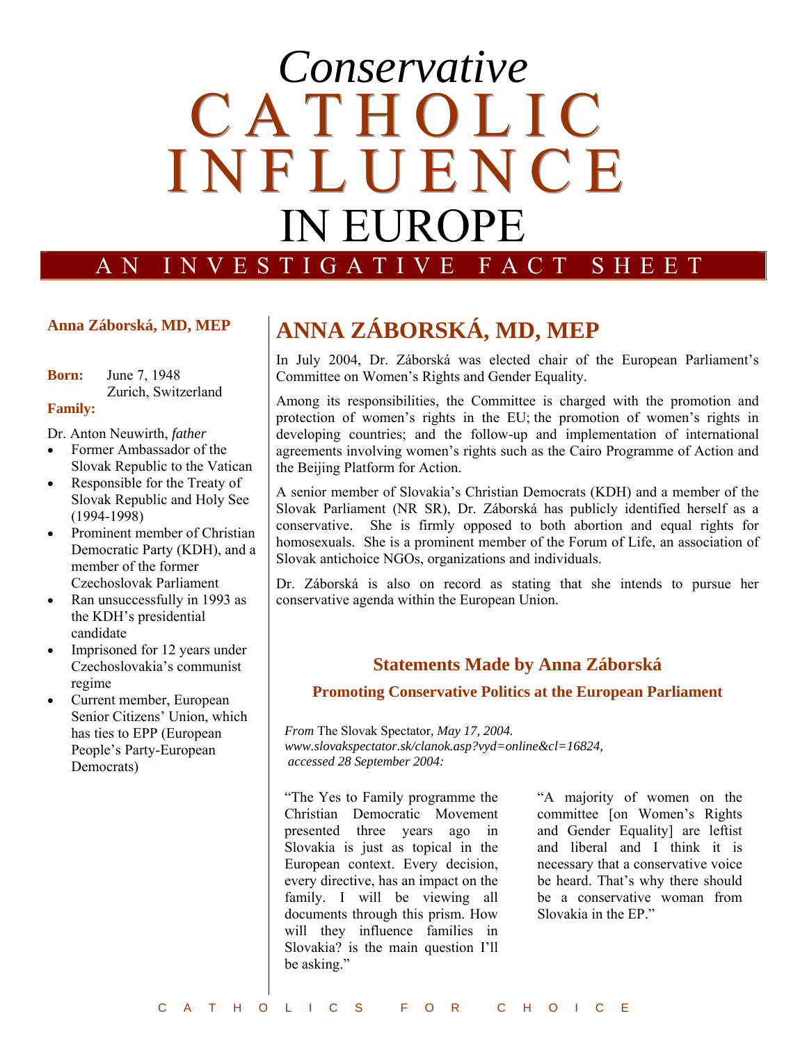# E I N F L U E N C E *Conservative*  **CATHOLIC** IN EUROPE

AN INVESTIGATIVE FACT SHEET

# **Anna Záborská, MD, MEP**

**Born:** June 7, 1948 Zurich, Switzerland

# **Family:**

Dr. Anton Neuwirth, *father*

- Former Ambassador of the Slovak Republic to the Vatican
- Responsible for the Treaty of Slovak Republic and Holy See (1994-1998)
- Prominent member of Christian Democratic Party (KDH), and a member of the former Czechoslovak Parliament
- Ran unsuccessfully in 1993 as the KDH's presidential candidate
- Imprisoned for 12 years under Czechoslovakia's communist regime
- Current member, European Senior Citizens' Union, which has ties to EPP (European People's Party-European Democrats)

# **ANNA ZÁBORSKÁ, MD, MEP**

In July 2004, Dr. Záborská was elected chair of the European Parliament's Committee on Women's Rights and Gender Equality.

Among its responsibilities, the Committee is charged with the promotion and protection of women's rights in the EU; the promotion of women's rights in developing countries; and the follow-up and implementation of international agreements involving women's rights such as the Cairo Programme of Action and the Beijing Platform for Action.

A senior member of Slovakia's Christian Democrats (KDH) and a member of the Slovak Parliament (NR SR), Dr. Záborská has publicly identified herself as a conservative. She is firmly opposed to both abortion and equal rights for homosexuals. She is a prominent member of the Forum of Life, an association of Slovak antichoice NGOs, organizations and individuals.

Dr. Záborská is also on record as stating that she intends to pursue her conservative agenda within the European Union.

# **Statements Made by Anna Záborská**

# **Promoting Conservative Politics at the European Parliament**

*From* The Slovak Spectator*, May 17, 2004. www.slovakspectator.sk/clanok.asp?vyd=online&cl=16824, accessed 28 September 2004:* 

"The Yes to Family programme the Christian Democratic Movement presented three years ago in Slovakia is just as topical in the European context. Every decision, every directive, has an impact on the family. I will be viewing all documents through this prism. How will they influence families in Slovakia? is the main question I'll be asking."

"A majority of women on the committee [on Women's Rights and Gender Equality] are leftist and liberal and I think it is necessary that a conservative voice be heard. That's why there should be a conservative woman from Slovakia in the EP."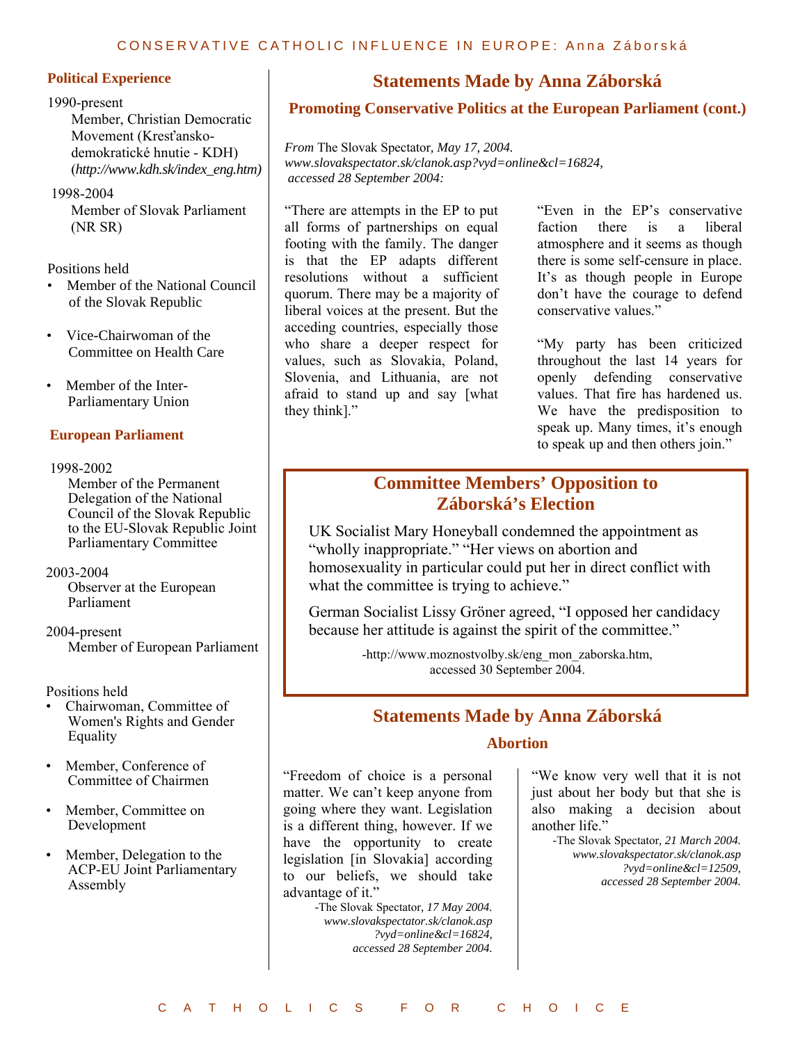#### CONSERVATIVE CATHOLIC INFLUENCE IN EUROPE: Anna Záborská

#### **Political Experience**

#### 1990-present

Member, Christian Democratic Movement (Kresťanskodemokratické hnutie - KDH) (*http://www.kdh.sk/index\_eng.htm)*

#### 1998-2004

 Member of Slovak Parliament (NR SR)

Positions held

- Member of the National Council of the Slovak Republic
- Vice-Chairwoman of the Committee on Health Care
- Member of the Inter- Parliamentary Union

## **European Parliament**

#### 1998-2002

 Member of the Permanent Delegation of the National Council of the Slovak Republic to the EU-Slovak Republic Joint Parliamentary Committee

#### 2003-2004

 Observer at the European Parliament

### 2004-present Member of European Parliament

Positions held

- Chairwoman, Committee of Women's Rights and Gender Equality
- Member, Conference of Committee of Chairmen
- Member, Committee on Development
- Member, Delegation to the ACP-EU Joint Parliamentary Assembly

# **Statements Made by Anna Záborská**

# **Promoting Conservative Politics at the European Parliament (cont.)**

*From* The Slovak Spectator*, May 17, 2004. www.slovakspectator.sk/clanok.asp?vyd=online&cl=16824, accessed 28 September 2004:* 

"There are attempts in the EP to put all forms of partnerships on equal footing with the family. The danger is that the EP adapts different resolutions without a sufficient quorum. There may be a majority of liberal voices at the present. But the acceding countries, especially those who share a deeper respect for values, such as Slovakia, Poland, Slovenia, and Lithuania, are not afraid to stand up and say [what they think]."

"Even in the EP's conservative faction there is a liberal atmosphere and it seems as though there is some self-censure in place. It's as though people in Europe don't have the courage to defend conservative values."

"My party has been criticized throughout the last 14 years for openly defending conservative values. That fire has hardened us. We have the predisposition to speak up. Many times, it's enough to speak up and then others join."

# **Committee Members' Opposition to Záborská's Election**

UK Socialist Mary Honeyball condemned the appointment as "wholly inappropriate." "Her views on abortion and homosexuality in particular could put her in direct conflict with what the committee is trying to achieve."

German Socialist Lissy Gröner agreed, "I opposed her candidacy because her attitude is against the spirit of the committee."

> -http://www.moznostvolby.sk/eng\_mon\_zaborska.htm, accessed 30 September 2004.

# **Statements Made by Anna Záborská**

# **Abortion**

"Freedom of choice is a personal matter. We can't keep anyone from going where they want. Legislation is a different thing, however. If we have the opportunity to create legislation [in Slovakia] according to our beliefs, we should take advantage of it."

> *-*The Slovak Spectator*, 17 May 2004. www.slovakspectator.sk/clanok.asp ?vyd=online&cl=16824, accessed 28 September 2004.*

"We know very well that it is not just about her body but that she is also making a decision about another life."

> *-*The Slovak Spectator*, 21 March 2004. www.slovakspectator.sk/clanok.asp ?vyd=online&cl=12509, accessed 28 September 2004.*